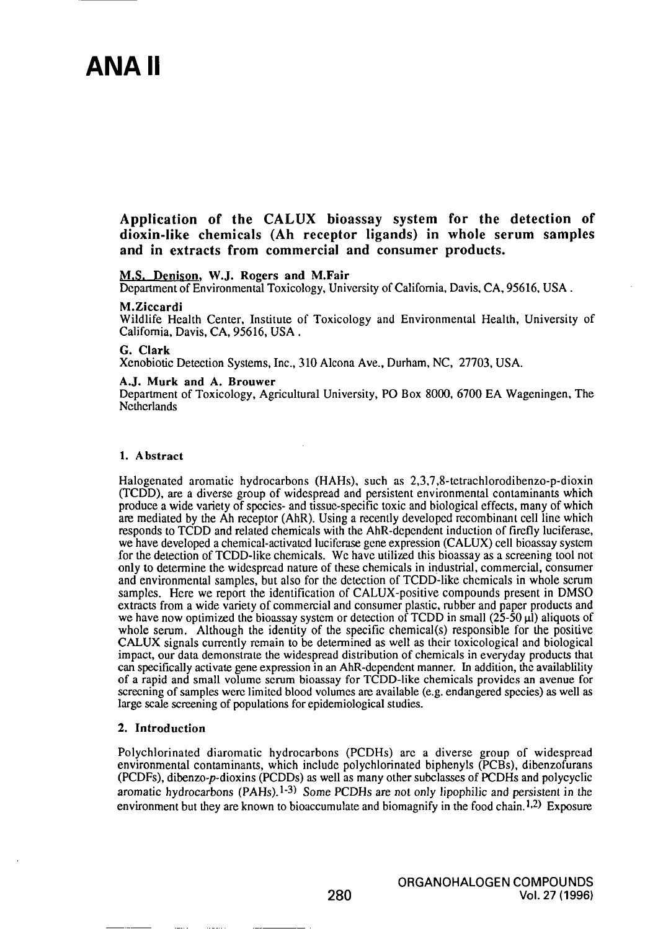# ANA II

Application of the CALUX bioassay system for the detection of dioxin-like chemicals (Ah receptor ligands) in whole serum samples and in extracts from commercial and consumer products.

#### M.S. Denison. W.J. Rogers and M.Fair

Department of Environmental Toxicology, University of Califomia, Davis. CA, 95616, USA.

#### M.Ziccardi

Wildlife Health Center, Institute of Toxicology and Environmenlal Health, University of Califomia, Davis, CA, 95616, USA .

#### G. Clark

Xenobiotic Detection Systems, Inc., 310 Alcona Ave., Durham, NC, 27703, USA.

#### A.J. Murk and A. Brouwer

Departmeni of Toxicology, Agricultural University, PO Box 8000, 6700 EA Wageningen, The Netherlands

#### 1. Abstract

Halogenated aromatic hydrocarbons (HAHs), such as 2,3,7,8-tetrachlorodibenzo-p-dioxin (TCDD), are a diverse group of widespread and persistent environmenlal contaminants which produce a wide variety of species- and tissue-specific toxic and biological effects, many of which are mediated by the Ah recepior (AhR). Using a recenlly developed recombinant cell line which responds to TCDD and related chemicals with the AhR-dependent induction of firefly luciferase, we have developed a chemical-activated luciferase gene expression (CALUX) cell bioassay system for the detection of TCDD-like chemicals. Wc have utilized this bioassay as a screening tool not only lo determine the widespread nature of these chemicals in industrial, commercial, consumer and environmental samples, but also for the detection of TCDD-like chemicals in whole serum samples. Here we report the identification of CALUX-positive compounds present in DMSO extracts from a wide variety of commercial and consumer plastic, mbber and paper products and we have now optimized the bioassay system or detection of TCDD in small  $(25-50 \mu l)$  aliquots of whole serum. Although the identity of the specific chemical(s) responsible for the positive CALUX signals currcntiy remain to be detennined as well as their toxicological and biological impact, our data demonstrate the widespread distribution of chemicals in everyday products that can specifically activate gene expression in an AhR-dependent manner. In addition, the availability of a rapid and small volume semm bioassay for TCDD-like chemicals provides an avenue for screening of samples were limited blood volumes are available (e.g. endangered species) as well as large scale screening of populations for epidemiological studies.

#### 2. Introduction

Polychlorinated diaromatic hydrocarbons (PCDHs) arc a diverse group of widespread environmental contaminants, which include polychlorinated biphenyls (PCBs), dibenzofurans (PCDFs), dibenzo-p-dioxins (PCDDs) as well as many other subclasses of PCDHs and polycyclic aromatic hydrocarbons  $(PAHs)$ .<sup>1-3)</sup> Some PCDHs are not only lipophilic and persistent in the environment but they are known to bioaccumulate and biomagnify in the food chain.<sup>1,2)</sup> Exposure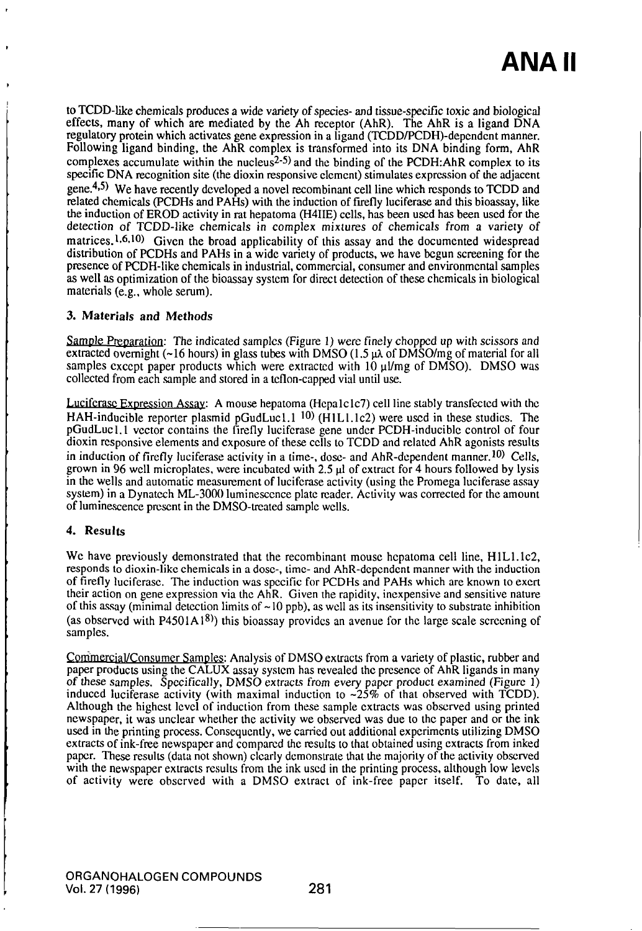to TCDD-like chemicals produces a wide variety of species- and tissue-specific toxic and biological effects, many of which are mediated by the Ah receptor (AhR). The AhR is a ligand DNA regulatory protein which activates gene expression in a ligand (TCDD/PCDH)-depcndcnt manner. Following ligand binding, the AhR complex is transformed into its DNA binding form, AhR complexes accumulate within the nucleus<sup>2-5)</sup> and the binding of the PCDH:AhR complex to its specific DNA recognition site (the dioxin responsive clement) stimulates expression of the adjacent gene. $4.5$ ) We have recently developed a novel recombinant cell line which responds to TCDD and relaled chemicals (PCDHs and PAHs) wilh the induction of firefly luciferase and this bioassay, like the induction of EROD activity in rat hepatoma (H4IIE) cells, has been used has been used for the detection of TCDD-like chemicals in complex mixtures of chemicals from a variety of matrices.<sup>1,6,10</sup> Given the broad applicability of this assay and the documented widespread distribution of PCDHs and PAHs in a wide variety of products, we have begun screening for the presence of PCDH-like chemicals in industrial, commercial, consumer and environmental samples as well as optimization of the bioassay system for direct detection of these chemicals in biological materials (e.g., whole semm).

### 3. Materials and Methods

Sample Preparation: The indicated samples (Figure 1) were finely chopped up with scissors and extracted overnight (~16 hours) in glass tubes with DMSO (1.5  $\mu\lambda$  of DMSO/mg of material for all samples except paper products which were extracted with  $10 \mu\text{/mg}$  of DMSO). DMSO was collected from each sample and stored in a teflon-capped vial until use.

Luciferase Expression Assay: A mouse hepatoma (Hepalclc7) cell line stably transfected with the HAH-inducible reporter plasmid pGudLuc1.1  $^{10}$ ) (H1L1.1c2) were used in these studies. The pGudLuc1.1 vector contains the firefly luciferase gene under PCDH-inducible control of four dioxin responsive elements and exposure of these cells lo TCDD and related AhR agonists resulls in induction of firefly luciferase activity in a time-, dose- and AhR-dependent manner.<sup>10)</sup> Cells, grown in 96 well microplates, were incubated with  $2.5 \mu$  of extract for 4 hours followed by lysis in the wells and automatic measurement of luciferase activity (using the Promega luciferase assay system) in a Dynatech ML-3000 luminescence plate reader. Activity was corrected for the amount of luminescence present in the DMSO-treated sample wells.

## 4. Results

We have previously demonstrated that the recombinant mouse hepatoma cell line, H1L1.1c2, responds to dioxin-like chemicals in a dose-, lime- and AhR-dcpcndcnt manner with the induction of firefly luciferase. The induction was specific for PCDHs and PAHs which are known lo exert their action on gene expression via the AhR. Given the rapidity, inexpensive and sensitive nature of this assay (minimal detection limits of  $\sim$  10 ppb), as well as its insensitivity to substrate inhibition (as observed with P4501A1<sup>8)</sup>) this bioassay provides an avenue for the large scale screening of samples.

Commercial/Consumer Samples: Analysis of DMSO extracts from a variety of plastic, rubber and paper products using the CALUX assay syslcm has revealed the presence of AhR ligands in many of these samples. Specifically, DMSO extracts from every paper product examined (Figure 1) induced luciferase activity (with maximal induction to  $\sim$ 25% of that observed with TCDD). Although the highest level of induction from these sample extracts was observed using printed newspaper, it was unclear whether the activity we observed was due to the paper and or the ink used in the printing process. Consequently, we carried oul addilional experiments utilizing DMSO extracts of ink-free newspaper and compared the results to that obtained using extracts from inked paper. These results (data not shown) clearly demonstrate that the majority of the activity observed wilh the newspaper extracts resulls from the ink used in the printing process, allhough low levels of activity were observed wilh a DMSO extract of ink-free paper itself. To date, all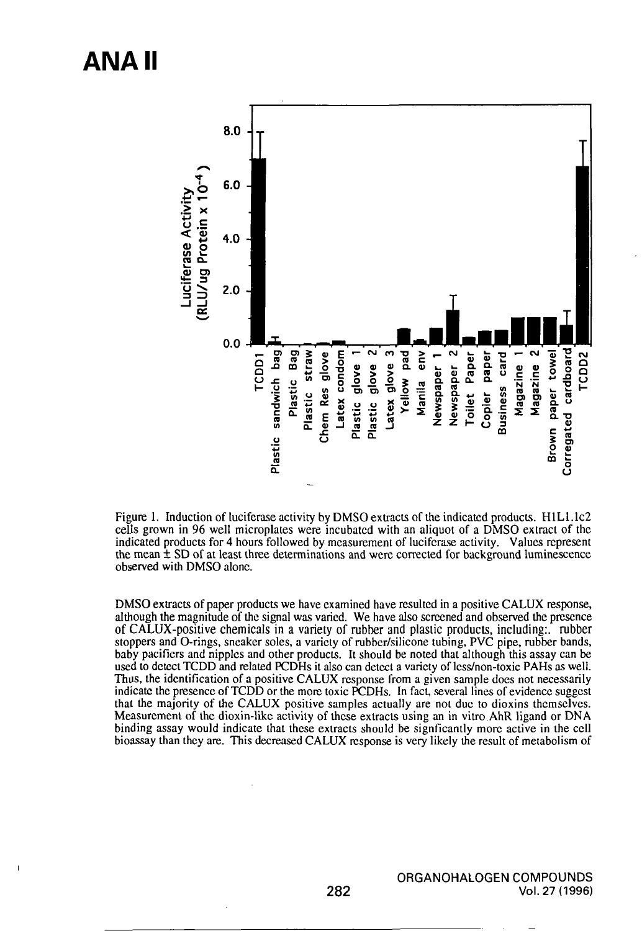## **ANA II**

 $\overline{1}$ 



Figure 1. Induction of luciferase activity by DMSO extracts of the indicated products. H1L1.1c2 cells grown in 96 well microplates were incubated with an aliquot of a DMSO extract of the indicated products for 4 hours followed by measurement of luciferase activity. Values represent the mean  $\pm$  SD of at least three determinations and were corrected for background luminescence observed with DMSO alone.

DMSO extracts of paper products we have examined have resulted in a positive CALUX response, although the magnitude of the signal was varied. We have also screened and observed the presence of CALUX-positive chemicals in a variety of rubber and plastic products, including: rubber stoppers and O-rings, sneaker soles, a variety of rubber/silicone tubing, PVC pipe, rubber bands, baby pacifiers and nipples and other products. It should be noted that although this assay can be used to detect TCDD and related PCDHs it also can detect a variety of less/non-toxic PAHs as well. Thus, the identification of a positive CALUX response from a given sample does not necessarily indicate the presence of TCDD or the more toxic PCDHs. In fact, several lines of evidence suggest that the majority of the CALUX positive samples actually are not due to dioxins themselves. Measurement of the dioxin-like activity of these extracts using an in vitro AhR ligand or DNA binding assay would indicate that these extracts should be significantly more active in the cell bioassay than they are. This decreased CALUX response is very likely the result of metabolism of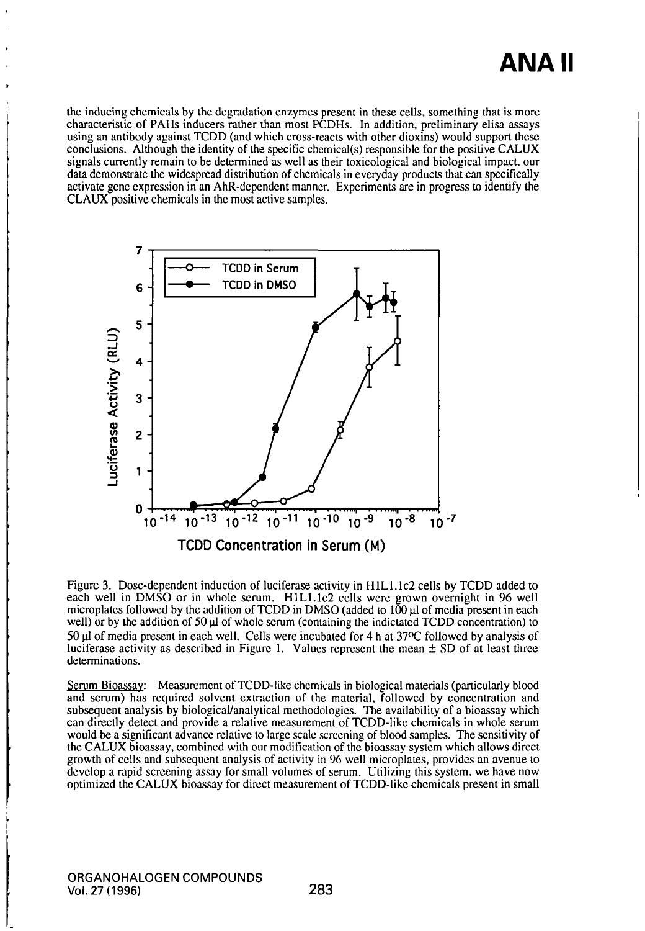# **ANA II**

the inducing chemicals by the degradation enzymes present in these cells, something that is more characteristic of PAHs inducers rather than most PCDHs. In addition, preliminary elisa assays using an antibody against TCDD (and which cross-reacts with other dioxins) would support these conclusions. Although the identity of the specific chemical(s) responsible for the positive CALUX signals currently remain to be determined as well as their toxicological and biological impact, our data demonstrate the widespread distribution of chemicals in everyday products that can specifically activate gene expression in an AhR-dependent manner. Experiments are in progress to identify the CLAUX positive chemicals in die most active samples.



Figure 3. Dose-dependent induction of luciferase activity in HlLl.lc2 cells by TCDD added to each well in DMSO or in whole serum. H1L1.1c2 cells were grown overnight in 96 well microplates followed by the addition of TCDD in DMSO (added to  $100 \mu$  of media present in each well) or by the addition of  $50 \mu$  of whole serum (containing the indictated TCDD concentration) to 50  $\mu$ l of media present in each well. Cells were incubated for 4 h at 37°C followed by analysis of luciferase activity as described in Figure 1. Values represent the mean  $\pm$  SD of at least three determinations.

Serum Bioassay: Measurement of TCDD-like chemicals in biological materials (particularly blood and serum) has required solvent extraction of the material, followed by concentration and subsequent analysis by biological/analytical methodologies. The availability of a bioassay which can directly detect and provide a relative measurement of TCDD-like chemicals in whole semm would be a significant advance relative to large scale screening of blood samples. The sensitivity of the CALUX bioassay, combined with our modification of the bioassay system which allows direct growth of cells and subsequent analysis of activity in 96 well microplates, provides an avenue to develop a rapid screening assay for small volumes of serum. Utilizing this system, we have now optimized the CALUX bioassay for direct measurement of TCDD-like chemicals present in small